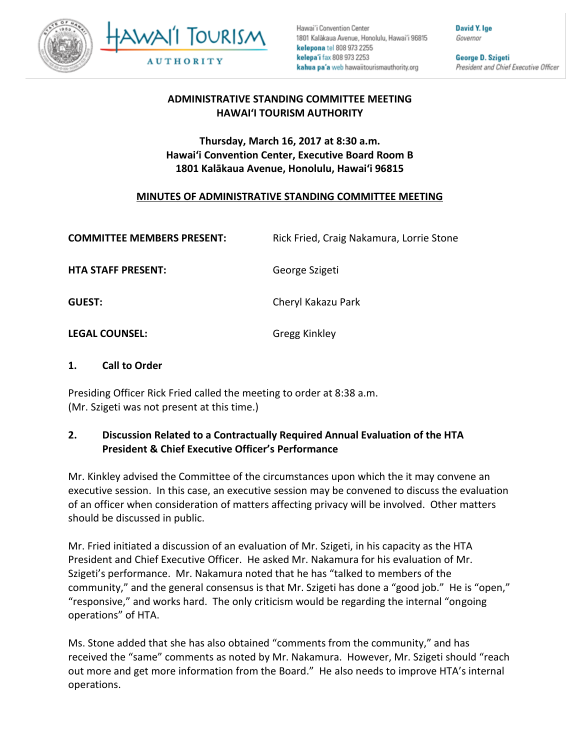



Hawai'i Convention Center 1801 Kalākaua Avenue, Honolulu, Hawai'i 96815 kelepona tel 808 973 2255 kelepa'i fax 808 973 2253 kahua pa'a web hawaiitourismauthority.org

David Y. Ige Governor

George D. Szigeti President and Chief Executive Officer

# **ADMINISTRATIVE STANDING COMMITTEE MEETING HAWAI'I TOURISM AUTHORITY**

# **Thursday, March 16, 2017 at 8:30 a.m. Hawai'i Convention Center, Executive Board Room B 1801 Kalākaua Avenue, Honolulu, Hawai'i 96815**

# **MINUTES OF ADMINISTRATIVE STANDING COMMITTEE MEETING**

| <b>COMMITTEE MEMBERS PRESENT:</b> | Rick Fried, Craig Nakamura, Lorrie Stone |
|-----------------------------------|------------------------------------------|
| <b>HTA STAFF PRESENT:</b>         | George Szigeti                           |
| <b>GUEST:</b>                     | Cheryl Kakazu Park                       |
|                                   |                                          |

**LEGAL COUNSEL:** Gregg Kinkley

## **1. Call to Order**

Presiding Officer Rick Fried called the meeting to order at 8:38 a.m. (Mr. Szigeti was not present at this time.)

## **2. Discussion Related to a Contractually Required Annual Evaluation of the HTA President & Chief Executive Officer's Performance**

Mr. Kinkley advised the Committee of the circumstances upon which the it may convene an executive session. In this case, an executive session may be convened to discuss the evaluation of an officer when consideration of matters affecting privacy will be involved. Other matters should be discussed in public.

Mr. Fried initiated a discussion of an evaluation of Mr. Szigeti, in his capacity as the HTA President and Chief Executive Officer. He asked Mr. Nakamura for his evaluation of Mr. Szigeti's performance. Mr. Nakamura noted that he has "talked to members of the community," and the general consensus is that Mr. Szigeti has done a "good job." He is "open," "responsive," and works hard. The only criticism would be regarding the internal "ongoing operations" of HTA.

Ms. Stone added that she has also obtained "comments from the community," and has received the "same" comments as noted by Mr. Nakamura. However, Mr. Szigeti should "reach out more and get more information from the Board." He also needs to improve HTA's internal operations.